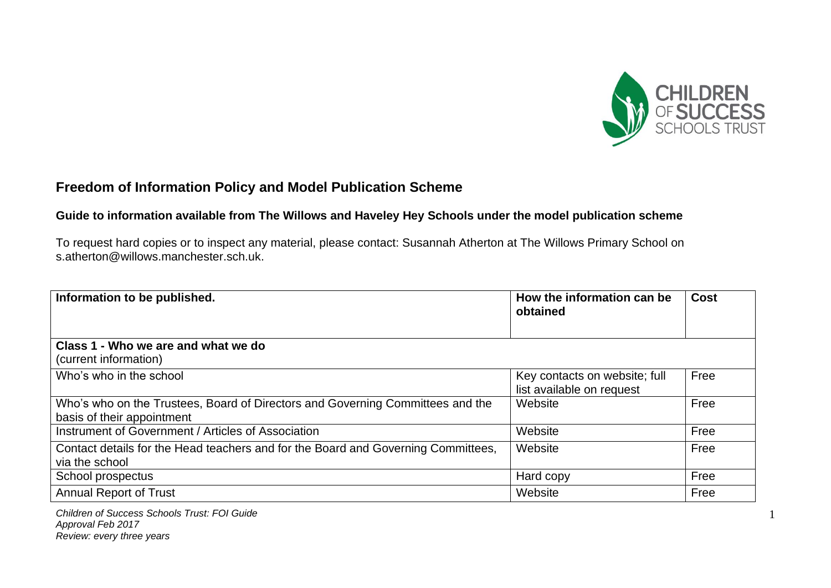

# **Freedom of Information Policy and Model Publication Scheme**

### **Guide to information available from The Willows and Haveley Hey Schools under the model publication scheme**

To request hard copies or to inspect any material, please contact: Susannah Atherton at The Willows Primary School on s.atherton@willows.manchester.sch.uk.

| Information to be published.                                                                                 | How the information can be<br>obtained                     | <b>Cost</b> |
|--------------------------------------------------------------------------------------------------------------|------------------------------------------------------------|-------------|
| Class 1 - Who we are and what we do                                                                          |                                                            |             |
| (current information)                                                                                        |                                                            |             |
| Who's who in the school                                                                                      | Key contacts on website; full<br>list available on request | Free        |
| Who's who on the Trustees, Board of Directors and Governing Committees and the<br>basis of their appointment | Website                                                    | Free        |
| Instrument of Government / Articles of Association                                                           | Website                                                    | Free        |
| Contact details for the Head teachers and for the Board and Governing Committees,<br>via the school          | Website                                                    | Free        |
| School prospectus                                                                                            | Hard copy                                                  | Free        |
| <b>Annual Report of Trust</b>                                                                                | Website                                                    | Free        |

*Children of Success Schools Trust: FOI Guide Approval Feb 2017 Review: every three years*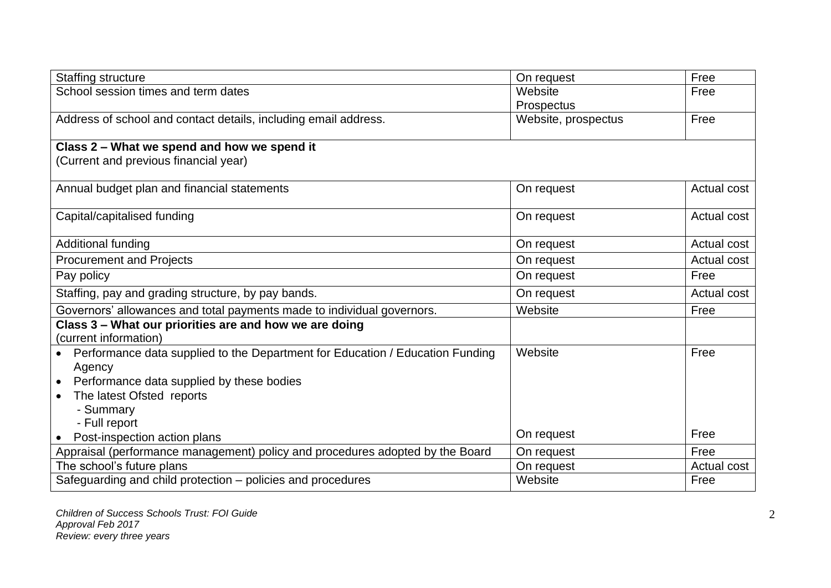| <b>Staffing structure</b>                                                       | On request          | Free        |
|---------------------------------------------------------------------------------|---------------------|-------------|
| School session times and term dates                                             | Website             | Free        |
|                                                                                 | Prospectus          |             |
| Address of school and contact details, including email address.                 | Website, prospectus | Free        |
|                                                                                 |                     |             |
| Class 2 - What we spend and how we spend it                                     |                     |             |
| (Current and previous financial year)                                           |                     |             |
| Annual budget plan and financial statements                                     | On request          | Actual cost |
|                                                                                 |                     |             |
| Capital/capitalised funding                                                     | On request          | Actual cost |
| Additional funding                                                              | On request          | Actual cost |
|                                                                                 |                     |             |
| <b>Procurement and Projects</b>                                                 | On request          | Actual cost |
| Pay policy                                                                      | On request          | Free        |
| Staffing, pay and grading structure, by pay bands.                              | On request          | Actual cost |
| Governors' allowances and total payments made to individual governors.          | Website             | Free        |
| Class 3 - What our priorities are and how we are doing                          |                     |             |
| (current information)                                                           |                     |             |
| • Performance data supplied to the Department for Education / Education Funding | Website             | Free        |
| Agency                                                                          |                     |             |
| Performance data supplied by these bodies<br>$\bullet$                          |                     |             |
| The latest Ofsted reports<br>$\bullet$                                          |                     |             |
| - Summary                                                                       |                     |             |
| - Full report                                                                   |                     |             |
| Post-inspection action plans                                                    | On request          | Free        |
| Appraisal (performance management) policy and procedures adopted by the Board   | On request          | Free        |
| The school's future plans                                                       | On request          | Actual cost |
| Safeguarding and child protection – policies and procedures                     | Website             | Free        |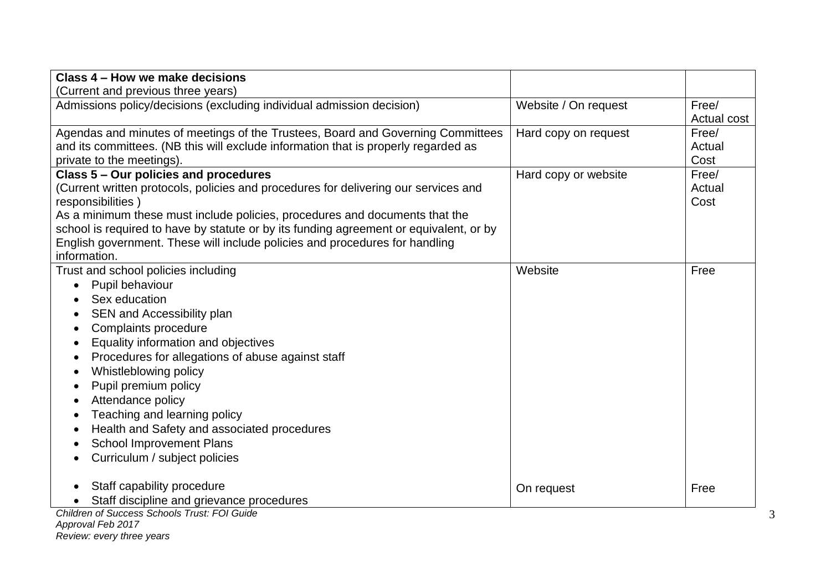| Class 4 – How we make decisions                                                        |                      |             |
|----------------------------------------------------------------------------------------|----------------------|-------------|
| (Current and previous three years)                                                     |                      |             |
| Admissions policy/decisions (excluding individual admission decision)                  | Website / On request | Free/       |
|                                                                                        |                      | Actual cost |
| Agendas and minutes of meetings of the Trustees, Board and Governing Committees        | Hard copy on request | Free/       |
| and its committees. (NB this will exclude information that is properly regarded as     |                      | Actual      |
| private to the meetings).                                                              |                      | Cost        |
| Class 5 - Our policies and procedures                                                  | Hard copy or website | Free/       |
| (Current written protocols, policies and procedures for delivering our services and    |                      | Actual      |
| responsibilities)                                                                      |                      | Cost        |
| As a minimum these must include policies, procedures and documents that the            |                      |             |
| school is required to have by statute or by its funding agreement or equivalent, or by |                      |             |
| English government. These will include policies and procedures for handling            |                      |             |
| information.                                                                           |                      |             |
| Trust and school policies including                                                    | Website              | Free        |
| Pupil behaviour                                                                        |                      |             |
| Sex education                                                                          |                      |             |
| SEN and Accessibility plan                                                             |                      |             |
| Complaints procedure                                                                   |                      |             |
| Equality information and objectives                                                    |                      |             |
| Procedures for allegations of abuse against staff<br>$\bullet$                         |                      |             |
| Whistleblowing policy<br>$\bullet$                                                     |                      |             |
| Pupil premium policy                                                                   |                      |             |
| Attendance policy                                                                      |                      |             |
| Teaching and learning policy                                                           |                      |             |
| Health and Safety and associated procedures                                            |                      |             |
| <b>School Improvement Plans</b>                                                        |                      |             |
| Curriculum / subject policies                                                          |                      |             |
|                                                                                        |                      |             |
| Staff capability procedure                                                             | On request           | Free        |
| Staff discipline and grievance procedures                                              |                      |             |
| Children of Success Schools Trust: FOI Guide                                           |                      |             |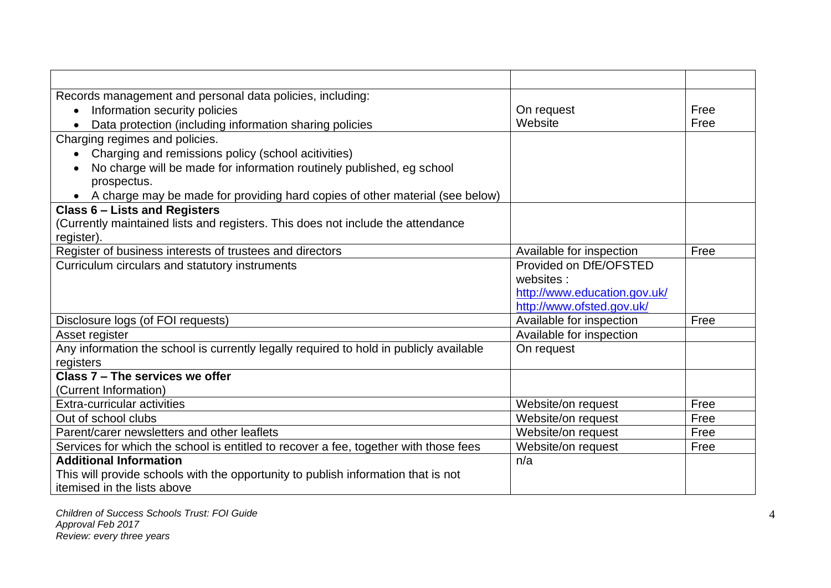| Records management and personal data policies, including:                                 |                              |      |
|-------------------------------------------------------------------------------------------|------------------------------|------|
| Information security policies<br>$\bullet$                                                | On request                   | Free |
| Data protection (including information sharing policies                                   | Website                      | Free |
| Charging regimes and policies.                                                            |                              |      |
| Charging and remissions policy (school acitivities)                                       |                              |      |
| No charge will be made for information routinely published, eg school<br>$\bullet$        |                              |      |
| prospectus.                                                                               |                              |      |
| A charge may be made for providing hard copies of other material (see below)<br>$\bullet$ |                              |      |
| <b>Class 6 - Lists and Registers</b>                                                      |                              |      |
| (Currently maintained lists and registers. This does not include the attendance           |                              |      |
| register).                                                                                |                              |      |
| Register of business interests of trustees and directors                                  | Available for inspection     | Free |
| Curriculum circulars and statutory instruments                                            | Provided on DfE/OFSTED       |      |
|                                                                                           | websites:                    |      |
|                                                                                           | http://www.education.gov.uk/ |      |
|                                                                                           | http://www.ofsted.gov.uk/    |      |
| Disclosure logs (of FOI requests)                                                         | Available for inspection     | Free |
| Asset register                                                                            | Available for inspection     |      |
| Any information the school is currently legally required to hold in publicly available    | On request                   |      |
| registers                                                                                 |                              |      |
| Class 7 - The services we offer                                                           |                              |      |
| (Current Information)                                                                     |                              |      |
| Extra-curricular activities                                                               | Website/on request           | Free |
| Out of school clubs                                                                       | Website/on request           | Free |
| Parent/carer newsletters and other leaflets                                               | Website/on request           | Free |
| Services for which the school is entitled to recover a fee, together with those fees      | Website/on request           | Free |
| <b>Additional Information</b>                                                             | n/a                          |      |
| This will provide schools with the opportunity to publish information that is not         |                              |      |
| itemised in the lists above                                                               |                              |      |